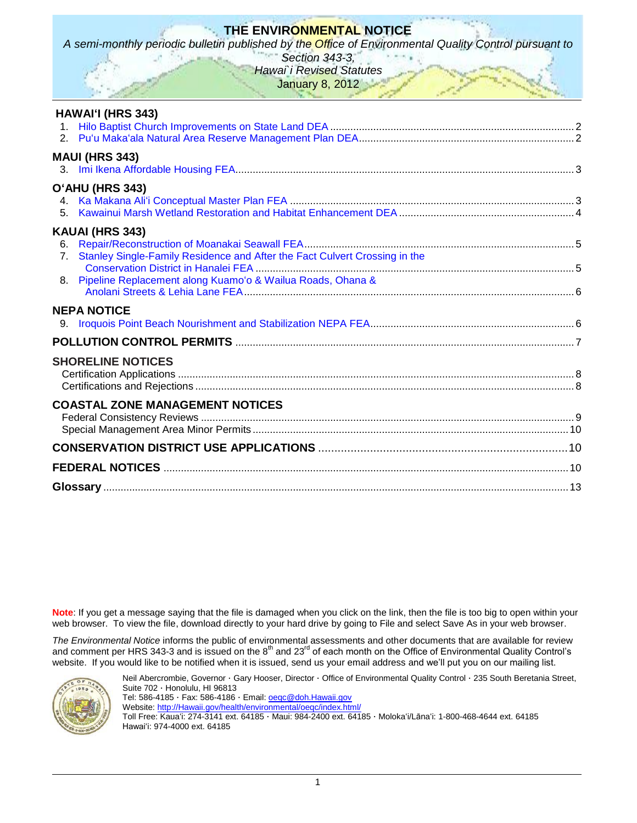# **THE ENVIRONMENTAL NOTICE**

*A semi-monthly periodic bulletin published by the Office of Environmental Quality Control pursuant to* 

*Section 343-3, Hawai`i Revised Statutes*

January 8, 2012

| <b>HAWAI'I (HRS 343)</b>                                                                     |  |
|----------------------------------------------------------------------------------------------|--|
|                                                                                              |  |
| <b>MAUI (HRS 343)</b>                                                                        |  |
| O'AHU (HRS 343)<br>4.<br>5.                                                                  |  |
| KAUAI (HRS 343)                                                                              |  |
| 6.                                                                                           |  |
| Stanley Single-Family Residence and After the Fact Culvert Crossing in the<br>7 <sub>1</sub> |  |
| 8. Pipeline Replacement along Kuamo'o & Wailua Roads, Ohana &                                |  |
| <b>NEPA NOTICE</b>                                                                           |  |
|                                                                                              |  |
|                                                                                              |  |
| <b>SHORELINE NOTICES</b>                                                                     |  |
| <b>COASTAL ZONE MANAGEMENT NOTICES</b>                                                       |  |
|                                                                                              |  |
|                                                                                              |  |
|                                                                                              |  |
|                                                                                              |  |

**Note**: If you get a message saying that the file is damaged when you click on the link, then the file is too big to open within your web browser. To view the file, download directly to your hard drive by going to File and select Save As in your web browser.

*The Environmental Notice* informs the public of environmental assessments and other documents that are available for review and comment per HRS 343-3 and is issued on the  $8<sup>th</sup>$  and 23<sup>rd</sup> of each month on the Office of Environmental Quality Control's website. If you would like to be notified when it is issued, send us your email address and we'll put you on our mailing list.



Neil Abercrombie, Governor · Gary Hooser, Director · Office of Environmental Quality Control · 235 South Beretania Street, Suite 702 · Honolulu, HI 96813 Tel: 586-4185 · Fax: 586-4186 · Email: **oegc@doh.Hawaii.gov** Website: [http://Hawaii.gov/health/environmental/oeqc/index.html/](http://hawaii.gov/health/environmental/oeqc/index.html/) Toll Free: Kauaʻi: 274-3141 ext. 64185 · Maui: 984-2400 ext. 64185 · Molokaʻi/Lānaʻi: 1-800-468-4644 ext. 64185

Hawaiʻi: 974-4000 ext. 64185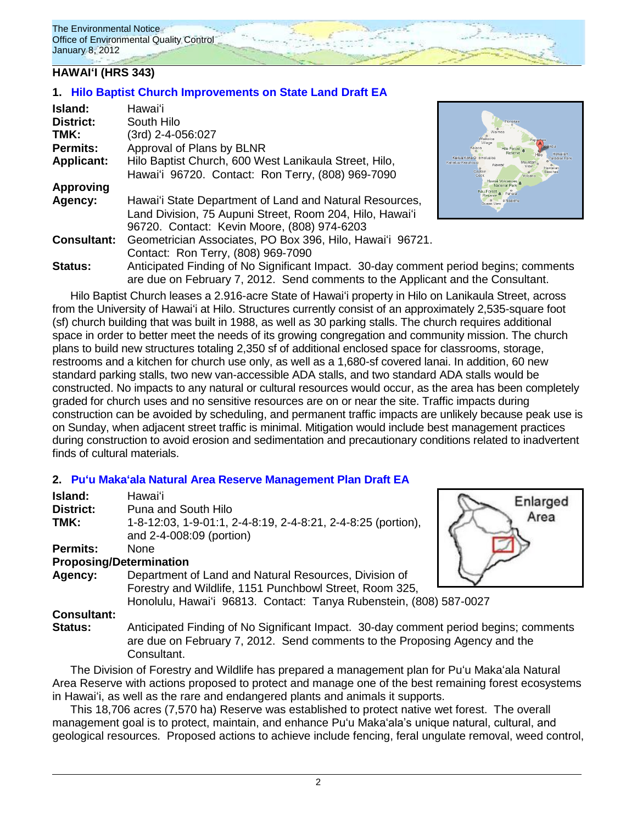### **HAWAIʻI (HRS 343)**

### **1. [Hilo Baptist Church Improvements on State Land](http://oeqc.doh.hawaii.gov/Shared%20Documents/EA_and_EIS_Online_Library/Hawaii/2010s/2012-01-08-DEA-Hilo-Baptist-Church.pdf) Draft EA**

| Island:            | Hawaiʻi                                                                                                                                                                 |                                             |
|--------------------|-------------------------------------------------------------------------------------------------------------------------------------------------------------------------|---------------------------------------------|
| <b>District:</b>   | South Hilo                                                                                                                                                              |                                             |
| TMK:               | (3rd) 2-4-056:027                                                                                                                                                       | Waikolo                                     |
| Permits:           | Approval of Plans by BLNR                                                                                                                                               |                                             |
| <b>Applicant:</b>  | Hilo Baptist Church, 600 West Lanikaula Street, Hilo,                                                                                                                   | Kailua Kona O o Holuaic<br>Kahaluu-Keauhous |
|                    | Hawai'i 96720. Contact: Ron Terry, (808) 969-7090                                                                                                                       | Captain<br>/olcano                          |
| <b>Approving</b>   |                                                                                                                                                                         |                                             |
| Agency:            | Hawai'i State Department of Land and Natural Resources,                                                                                                                 |                                             |
|                    | Land Division, 75 Aupuni Street, Room 204, Hilo, Hawai'i                                                                                                                |                                             |
|                    | 96720. Contact: Kevin Moore, (808) 974-6203                                                                                                                             |                                             |
| <b>Consultant:</b> | Geometrician Associates, PO Box 396, Hilo, Hawai'i 96721.                                                                                                               |                                             |
|                    | Contact: Ron Terry, (808) 969-7090                                                                                                                                      |                                             |
| <b>Status:</b>     | Anticipated Finding of No Significant Impact. 30-day comment period begins; comments<br>are due on February 7, 2012. Send comments to the Applicant and the Consultant. |                                             |

Hilo Baptist Church leases a 2.916-acre State of Hawaiʻi property in Hilo on Lanikaula Street, across from the University of Hawaiʻi at Hilo. Structures currently consist of an approximately 2,535-square foot (sf) church building that was built in 1988, as well as 30 parking stalls. The church requires additional space in order to better meet the needs of its growing congregation and community mission. The church plans to build new structures totaling 2,350 sf of additional enclosed space for classrooms, storage, restrooms and a kitchen for church use only, as well as a 1,680-sf covered lanai. In addition, 60 new standard parking stalls, two new van-accessible ADA stalls, and two standard ADA stalls would be constructed. No impacts to any natural or cultural resources would occur, as the area has been completely graded for church uses and no sensitive resources are on or near the site. Traffic impacts during construction can be avoided by scheduling, and permanent traffic impacts are unlikely because peak use is on Sunday, when adjacent street traffic is minimal. Mitigation would include best management practices during construction to avoid erosion and sedimentation and precautionary conditions related to inadvertent finds of cultural materials.

### **2. [Puʻu Makaʻala Natural Area Reserve Management Plan](http://oeqc.doh.hawaii.gov/Shared%20Documents/EA_and_EIS_Online_Library/Hawaii/2010s/2012-01-08-DEA-Puu-Makaala-Reserve.pdf) Draft EA**

| Island:            | Hawaiʻi                                                                                                                                                            | Enlarged |
|--------------------|--------------------------------------------------------------------------------------------------------------------------------------------------------------------|----------|
| District:          | Puna and South Hilo                                                                                                                                                |          |
| TMK:               | 1-8-12:03, 1-9-01:1, 2-4-8:19, 2-4-8:21, 2-4-8:25 (portion),<br>and 2-4-008:09 (portion)                                                                           | Area     |
| <b>Permits:</b>    | <b>None</b>                                                                                                                                                        |          |
|                    | <b>Proposing/Determination</b>                                                                                                                                     |          |
| Agency:            | Department of Land and Natural Resources, Division of<br>Forestry and Wildlife, 1151 Punchbowl Street, Room 325,                                                   |          |
|                    | Honolulu, Hawai'i 96813. Contact: Tanya Rubenstein, (808) 587-0027                                                                                                 |          |
| <b>Consultant:</b> |                                                                                                                                                                    |          |
| Status:            | Anticipated Finding of No Significant Impact. 30-day comment period begins; comments<br>are due on Eebruary 7, 2012. Send comments to the Preparing Agency and the |          |

are due on February 7, 2012. Send comments to the Proposing Agency and the Consultant.

The Division of Forestry and Wildlife has prepared a management plan for Puʻu Makaʻala Natural Area Reserve with actions proposed to protect and manage one of the best remaining forest ecosystems in Hawaiʻi, as well as the rare and endangered plants and animals it supports.

This 18,706 acres (7,570 ha) Reserve was established to protect native wet forest. The overall management goal is to protect, maintain, and enhance Puʻu Makaʻala's unique natural, cultural, and geological resources. Proposed actions to achieve include fencing, feral ungulate removal, weed control,



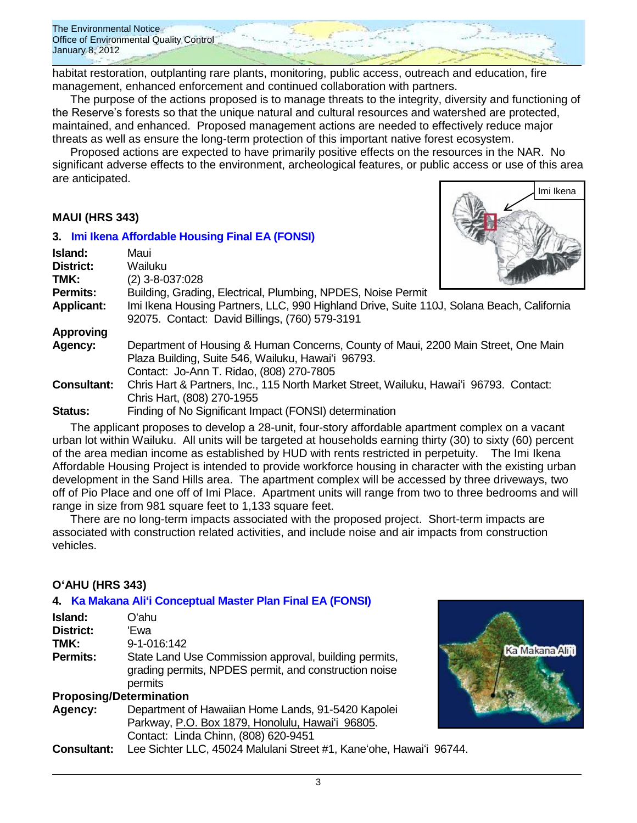

habitat restoration, outplanting rare plants, monitoring, public access, outreach and education, fire management, enhanced enforcement and continued collaboration with partners.

The purpose of the actions proposed is to manage threats to the integrity, diversity and functioning of the Reserve's forests so that the unique natural and cultural resources and watershed are protected, maintained, and enhanced. Proposed management actions are needed to effectively reduce major threats as well as ensure the long-term protection of this important native forest ecosystem.

Proposed actions are expected to have primarily positive effects on the resources in the NAR. No significant adverse effects to the environment, archeological features, or public access or use of this area are anticipated.

#### **MAUI (HRS 343)**

# **3. [Imi Ikena Affordable Housing Final EA](http://oeqc.doh.hawaii.gov/Shared%20Documents/EA_and_EIS_Online_Library/Maui/2010s/2012-01-08-FEA-Imi-Ikena-Affordable-Housing.pdf) (FONSI) Island:** Maui



| 13141 IU.          | 191711                                                                                    |  |  |
|--------------------|-------------------------------------------------------------------------------------------|--|--|
| District:          | Wailuku                                                                                   |  |  |
| TMK:               | $(2)$ 3-8-037:028                                                                         |  |  |
| <b>Permits:</b>    | Building, Grading, Electrical, Plumbing, NPDES, Noise Permit                              |  |  |
| <b>Applicant:</b>  | Imi Ikena Housing Partners, LLC, 990 Highland Drive, Suite 110J, Solana Beach, California |  |  |
|                    | 92075. Contact: David Billings, (760) 579-3191                                            |  |  |
| <b>Approving</b>   |                                                                                           |  |  |
| <b>Agency:</b>     | Department of Housing & Human Concerns, County of Maui, 2200 Main Street, One Main        |  |  |
|                    | Plaza Building, Suite 546, Wailuku, Hawai'i 96793.                                        |  |  |
|                    | Contact: Jo-Ann T. Ridao, (808) 270-7805                                                  |  |  |
| <b>Consultant:</b> | Chris Hart & Partners, Inc., 115 North Market Street, Wailuku, Hawai'i 96793. Contact:    |  |  |
|                    | Chris Hart, (808) 270-1955                                                                |  |  |
| <b>Status:</b>     | Finding of No Significant Impact (FONSI) determination                                    |  |  |
|                    |                                                                                           |  |  |

The applicant proposes to develop a 28-unit, four-story affordable apartment complex on a vacant urban lot within Wailuku. All units will be targeted at households earning thirty (30) to sixty (60) percent of the area median income as established by HUD with rents restricted in perpetuity. The Imi Ikena Affordable Housing Project is intended to provide workforce housing in character with the existing urban development in the Sand Hills area. The apartment complex will be accessed by three driveways, two off of Pio Place and one off of Imi Place. Apartment units will range from two to three bedrooms and will range in size from 981 square feet to 1,133 square feet.

There are no long-term impacts associated with the proposed project. Short-term impacts are associated with construction related activities, and include noise and air impacts from construction vehicles.

### **OʻAHU (HRS 343)**

### **4. [Ka Makana Aliʻi Conceptual Master Plan](http://oeqc.doh.hawaii.gov/Shared%20Documents/EA_and_EIS_Online_Library/Oahu/2010s/2012-01-08-FEA-Ka-Makana-Alii.pdf) Final EA (FONSI)**

| Island:                        | Oʻahu                                                                                                                     |  |
|--------------------------------|---------------------------------------------------------------------------------------------------------------------------|--|
| <b>District:</b>               | 'Ewa                                                                                                                      |  |
| TMK:                           | 9-1-016:142                                                                                                               |  |
| <b>Permits:</b>                | State Land Use Commission approval, building permits,<br>grading permits, NPDES permit, and construction noise<br>permits |  |
| <b>Proposing/Determination</b> |                                                                                                                           |  |
| Agency:                        | Department of Hawaiian Home Lands, 91-5420 Kapolei                                                                        |  |
|                                | Parkway, P.O. Box 1879, Honolulu, Hawai'i 96805.                                                                          |  |
|                                | Contact: Linda Chinn, (808) 620-9451                                                                                      |  |
| <b>Consultant:</b>             | Lee Sichter LLC, 45024 Malulani Street #1, Kane'ohe, Hawai'i 96744.                                                       |  |

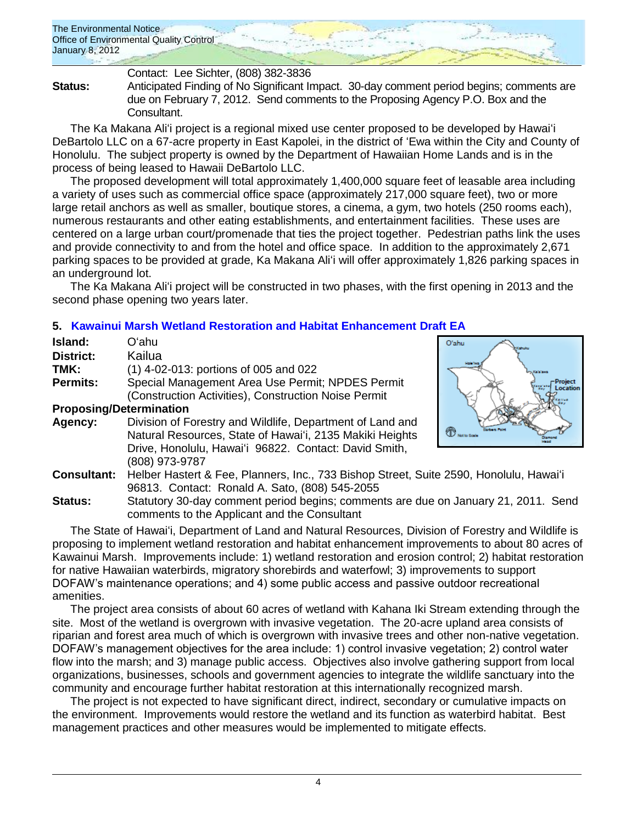Contact: Lee Sichter, (808) 382-3836

**Status:** Anticipated Finding of No Significant Impact. 30-day comment period begins; comments are due on February 7, 2012. Send comments to the Proposing Agency P.O. Box and the Consultant.

The Ka Makana Aliʻi project is a regional mixed use center proposed to be developed by Hawaiʻi DeBartolo LLC on a 67-acre property in East Kapolei, in the district of ʻEwa within the City and County of Honolulu. The subject property is owned by the Department of Hawaiian Home Lands and is in the process of being leased to Hawaii DeBartolo LLC.

The proposed development will total approximately 1,400,000 square feet of leasable area including a variety of uses such as commercial office space (approximately 217,000 square feet), two or more large retail anchors as well as smaller, boutique stores, a cinema, a gym, two hotels (250 rooms each), numerous restaurants and other eating establishments, and entertainment facilities. These uses are centered on a large urban court/promenade that ties the project together. Pedestrian paths link the uses and provide connectivity to and from the hotel and office space. In addition to the approximately 2,671 parking spaces to be provided at grade, Ka Makana Aliʻi will offer approximately 1,826 parking spaces in an underground lot.

The Ka Makana Aliʻi project will be constructed in two phases, with the first opening in 2013 and the second phase opening two years later.

# **5. [Kawainui Marsh Wetland Restoration and Habitat Enhancement](http://oeqc.doh.hawaii.gov/Shared%20Documents/EA_and_EIS_Online_Library/Oahu/2010s/2012-01-08-DEA-Kawainui-Marsh-Restoration.pdf) Draft EA**

| Island:                        | Oʻahu                                                     |
|--------------------------------|-----------------------------------------------------------|
| <b>District:</b>               | Kailua                                                    |
| TMK:                           | (1) 4-02-013: portions of 005 and 022                     |
| <b>Permits:</b>                | Special Management Area Use Permit; NPDES Permit          |
|                                | (Construction Activities), Construction Noise Permit      |
| <b>Proposing/Determination</b> |                                                           |
| Agency:                        | Division of Forestry and Wildlife, Department of Land and |
|                                | Natural Resources, State of Hawai'i, 2135 Makiki Heights  |
|                                | Drive, Honolulu, Hawai'i 96822. Contact: David Smith,     |
|                                | (808) 973-9787                                            |
|                                | $\blacksquare$                                            |



**Consultant:** Helber Hastert & Fee, Planners, Inc., 733 Bishop Street, Suite 2590, Honolulu, Hawaiʻi 96813. Contact: Ronald A. Sato, (808) 545-2055

**Status:** Statutory 30-day comment period begins; comments are due on January 21, 2011. Send comments to the Applicant and the Consultant

The State of Hawaiʻi, Department of Land and Natural Resources, Division of Forestry and Wildlife is proposing to implement wetland restoration and habitat enhancement improvements to about 80 acres of Kawainui Marsh. Improvements include: 1) wetland restoration and erosion control; 2) habitat restoration for native Hawaiian waterbirds, migratory shorebirds and waterfowl; 3) improvements to support DOFAW's maintenance operations; and 4) some public access and passive outdoor recreational amenities.

The project area consists of about 60 acres of wetland with Kahana Iki Stream extending through the site. Most of the wetland is overgrown with invasive vegetation. The 20-acre upland area consists of riparian and forest area much of which is overgrown with invasive trees and other non-native vegetation. DOFAW's management objectives for the area include: 1) control invasive vegetation; 2) control water flow into the marsh; and 3) manage public access. Objectives also involve gathering support from local organizations, businesses, schools and government agencies to integrate the wildlife sanctuary into the community and encourage further habitat restoration at this internationally recognized marsh.

The project is not expected to have significant direct, indirect, secondary or cumulative impacts on the environment. Improvements would restore the wetland and its function as waterbird habitat. Best management practices and other measures would be implemented to mitigate effects.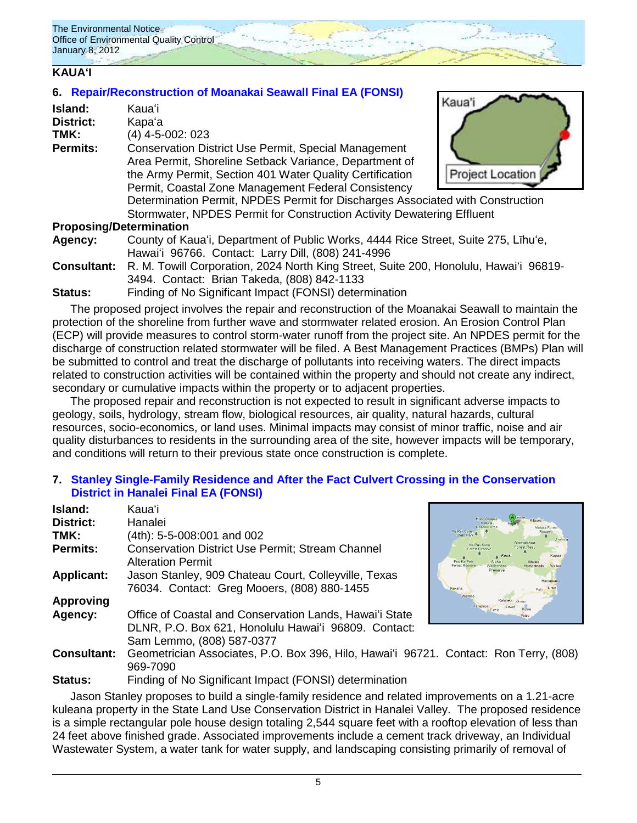# **KAUAʻI**

### **6. [Repair/Reconstruction of Moanakai Seawall](http://oeqc.doh.hawaii.gov/Shared%20Documents/EA_and_EIS_Online_Library/Kauai/2010s/2012-01-08-FEA-Moanakai-Seawall.pdf) Final EA (FONSI)**

| Island:         | Kauaʻi                                                                                                                                                                                                                                                                                                                                                                                               | Kaua <sup>1</sup> |
|-----------------|------------------------------------------------------------------------------------------------------------------------------------------------------------------------------------------------------------------------------------------------------------------------------------------------------------------------------------------------------------------------------------------------------|-------------------|
| District:       | Kapa'a                                                                                                                                                                                                                                                                                                                                                                                               |                   |
| TMK:            | $(4)$ 4-5-002: 023                                                                                                                                                                                                                                                                                                                                                                                   |                   |
| <b>Permits:</b> | <b>Conservation District Use Permit, Special Management</b><br>Area Permit, Shoreline Setback Variance, Department of<br>the Army Permit, Section 401 Water Quality Certification<br>Permit, Coastal Zone Management Federal Consistency<br>Determination Permit, NPDES Permit for Discharges Associated with Construction<br>Stormwater, NPDES Permit for Construction Activity Dewatering Effluent | Project Location  |
|                 |                                                                                                                                                                                                                                                                                                                                                                                                      |                   |
|                 | <b>Proposing/Determination</b>                                                                                                                                                                                                                                                                                                                                                                       |                   |
| Agency:         | County of Kaua'i, Department of Public Works, 4444 Rice Street, Suite 275, Līhu'e,                                                                                                                                                                                                                                                                                                                   |                   |

- Hawaiʻi 96766. Contact: Larry Dill, (808) 241-4996
- **Consultant:** R. M. Towill Corporation, 2024 North King Street, Suite 200, Honolulu, Hawaiʻi 96819- 3494. Contact: Brian Takeda, (808) 842-1133
- **Status:** Finding of No Significant Impact (FONSI) determination

The proposed project involves the repair and reconstruction of the Moanakai Seawall to maintain the protection of the shoreline from further wave and stormwater related erosion. An Erosion Control Plan (ECP) will provide measures to control storm-water runoff from the project site. An NPDES permit for the discharge of construction related stormwater will be filed. A Best Management Practices (BMPs) Plan will be submitted to control and treat the discharge of pollutants into receiving waters. The direct impacts related to construction activities will be contained within the property and should not create any indirect, secondary or cumulative impacts within the property or to adjacent properties.

The proposed repair and reconstruction is not expected to result in significant adverse impacts to geology, soils, hydrology, stream flow, biological resources, air quality, natural hazards, cultural resources, socio-economics, or land uses. Minimal impacts may consist of minor traffic, noise and air quality disturbances to residents in the surrounding area of the site, however impacts will be temporary, and conditions will return to their previous state once construction is complete.

### **7. [Stanley Single-Family Residence and After the Fact Culvert Crossing in the Conservation](http://oeqc.doh.hawaii.gov/Shared%20Documents/EA_and_EIS_Online_Library/Kauai/2010s/2012-01-08-FEA-Hanalei-Stanley-Residence.pdf)  [District in Hanalei Final EA \(FONSI\)](http://oeqc.doh.hawaii.gov/Shared%20Documents/EA_and_EIS_Online_Library/Kauai/2010s/2012-01-08-FEA-Hanalei-Stanley-Residence.pdf)**

| Island:            | Kauaʻi                                                                                              |                |
|--------------------|-----------------------------------------------------------------------------------------------------|----------------|
| <b>District:</b>   | Hanalei                                                                                             |                |
| TMK:               | (4th): 5-5-008:001 and 002                                                                          | N              |
| Permits:           | <b>Conservation District Use Permit: Stream Channel</b><br><b>Alteration Permit</b>                 | $\frac{1}{16}$ |
| <b>Applicant:</b>  | Jason Stanley, 909 Chateau Court, Colleyville, Texas<br>76034. Contact: Greg Mooers, (808) 880-1455 | ke             |
| <b>Approving</b>   |                                                                                                     |                |
| Agency:            | Office of Coastal and Conservation Lands, Hawai'i State                                             |                |
|                    | DLNR, P.O. Box 621, Honolulu Hawai'i 96809. Contact:<br>Sam Lemmo, (808) 587-0377                   |                |
| <b>Consultant:</b> | Geometrician Associates, P.O. Box 396, Hilo, Hawai'i 96721. Co<br>969-7090                          |                |



ontact: Ron Terry, (808)

**Status:** Finding of No Significant Impact (FONSI) determination

Jason Stanley proposes to build a single-family residence and related improvements on a 1.21-acre kuleana property in the State Land Use Conservation District in Hanalei Valley. The proposed residence is a simple rectangular pole house design totaling 2,544 square feet with a rooftop elevation of less than 24 feet above finished grade. Associated improvements include a cement track driveway, an Individual Wastewater System, a water tank for water supply, and landscaping consisting primarily of removal of

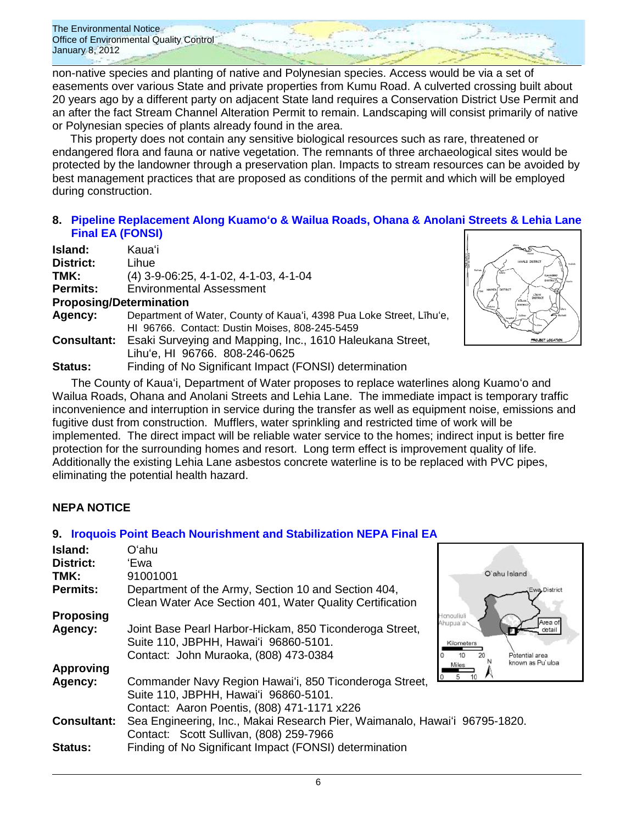non-native species and planting of native and Polynesian species. Access would be via a set of easements over various State and private properties from Kumu Road. A culverted crossing built about 20 years ago by a different party on adjacent State land requires a Conservation District Use Permit and an after the fact Stream Channel Alteration Permit to remain. Landscaping will consist primarily of native or Polynesian species of plants already found in the area.

This property does not contain any sensitive biological resources such as rare, threatened or endangered flora and fauna or native vegetation. The remnants of three archaeological sites would be protected by the landowner through a preservation plan. Impacts to stream resources can be avoided by best management practices that are proposed as conditions of the permit and which will be employed during construction.

### **8. [Pipeline Replacement Along Kuamoʻo & Wailua Roads, Ohana & Anolani Streets & Lehia Lane](http://oeqc.doh.hawaii.gov/Shared%20Documents/EA_and_EIS_Online_Library/Kauai/2010s/2012-01-08-FEA-Pipeline-Replacement-Along-Kuamoo-and%20Wailua-Roads.pdf) [Final EA \(FONSI\)](http://oeqc.doh.hawaii.gov/Shared%20Documents/EA_and_EIS_Online_Library/Kauai/2010s/2012-01-08-FEA-Pipeline-Replacement-Along-Kuamoo-and%20Wailua-Roads.pdf)**

| Island:                        | Kauaʻi                                                                                                                 |  |  |
|--------------------------------|------------------------------------------------------------------------------------------------------------------------|--|--|
| <b>District:</b>               | Lihue                                                                                                                  |  |  |
| TMK:                           | $(4)$ 3-9-06:25, 4-1-02, 4-1-03, 4-1-04                                                                                |  |  |
| <b>Permits:</b>                | <b>Environmental Assessment</b>                                                                                        |  |  |
| <b>Proposing/Determination</b> |                                                                                                                        |  |  |
| Agency:                        | Department of Water, County of Kaua'i, 4398 Pua Loke Street, Līhu'e,<br>HI 96766. Contact: Dustin Moises, 808-245-5459 |  |  |
|                                | <b>Consultant:</b> Esaki Surveying and Mapping, Inc., 1610 Haleukana Street,<br>Lihu'e, HI 96766. 808-246-0625         |  |  |
| <b>Status:</b>                 | Finding of No Significant Impact (FONSI) determination                                                                 |  |  |



The County of Kauaʻi, Department of Water proposes to replace waterlines along Kuamoʻo and Wailua Roads, Ohana and Anolani Streets and Lehia Lane. The immediate impact is temporary traffic inconvenience and interruption in service during the transfer as well as equipment noise, emissions and fugitive dust from construction. Mufflers, water sprinkling and restricted time of work will be implemented. The direct impact will be reliable water service to the homes; indirect input is better fire protection for the surrounding homes and resort. Long term effect is improvement quality of life. Additionally the existing Lehia Lane asbestos concrete waterline is to be replaced with PVC pipes, eliminating the potential health hazard.

### **NEPA NOTICE**

### **9. [Iroquois Point Beach Nourishment and Stabilization NEPA](http://oeqc.doh.hawaii.gov/Shared%20Documents/EA_and_EIS_Online_Library/NEPA%20and%20Other%20Documents/2012-01-08-NEPA-FEA-Iroquois-Point-Beach.pdf) Final EA**

| Island:            | Oʻahu                                                                      |                                |
|--------------------|----------------------------------------------------------------------------|--------------------------------|
| <b>District:</b>   | 'Ewa                                                                       |                                |
| TMK:               | 91001001                                                                   | O'ahu Island                   |
| <b>Permits:</b>    | Department of the Army, Section 10 and Section 404,                        | Ewa District                   |
|                    | Clean Water Ace Section 401, Water Quality Certification                   |                                |
| <b>Proposing</b>   |                                                                            | <b>Honouliuli</b>              |
| Agency:            | Joint Base Pearl Harbor-Hickam, 850 Ticonderoga Street,                    | Area of<br>Ahupua'a~<br>detail |
|                    | Suite 110, JBPHH, Hawai'i 96860-5101.                                      | Kilometers                     |
|                    | Contact: John Muraoka, (808) 473-0384                                      | Potential area                 |
| <b>Approving</b>   |                                                                            | known as Pu uloa<br>Miles      |
| Agency:            | Commander Navy Region Hawai'i, 850 Ticonderoga Street,                     |                                |
|                    | Suite 110, JBPHH, Hawai'i 96860-5101.                                      |                                |
|                    | Contact: Aaron Poentis, (808) 471-1171 x226                                |                                |
| <b>Consultant:</b> | Sea Engineering, Inc., Makai Research Pier, Waimanalo, Hawai'i 96795-1820. |                                |
|                    | Contact: Scott Sullivan, (808) 259-7966                                    |                                |
| <b>Status:</b>     | Finding of No Significant Impact (FONSI) determination                     |                                |
|                    |                                                                            |                                |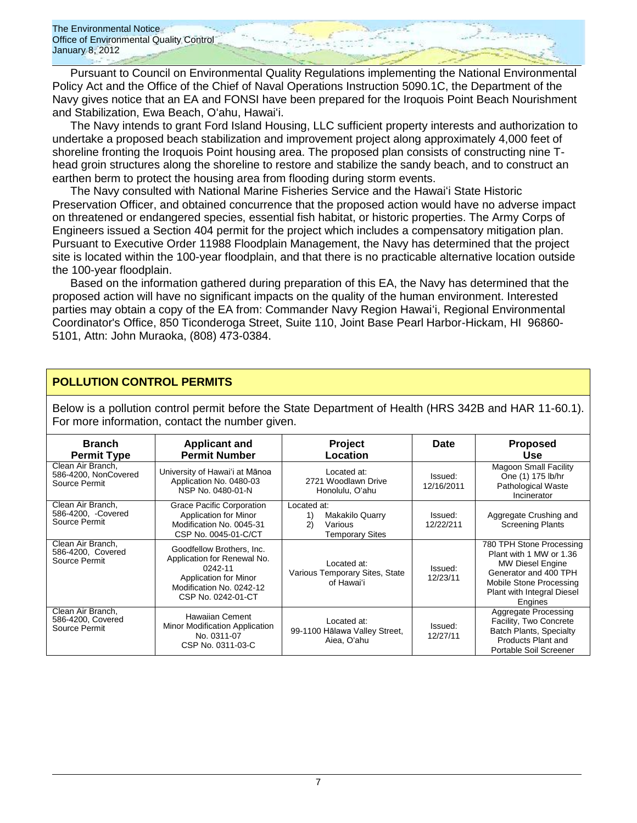Pursuant to Council on Environmental Quality Regulations implementing the National Environmental Policy Act and the Office of the Chief of Naval Operations Instruction 5090.1C, the Department of the Navy gives notice that an EA and FONSI have been prepared for the Iroquois Point Beach Nourishment and Stabilization, Ewa Beach, Oʻahu, Hawaiʻi.

The Navy intends to grant Ford Island Housing, LLC sufficient property interests and authorization to undertake a proposed beach stabilization and improvement project along approximately 4,000 feet of shoreline fronting the Iroquois Point housing area. The proposed plan consists of constructing nine Thead groin structures along the shoreline to restore and stabilize the sandy beach, and to construct an earthen berm to protect the housing area from flooding during storm events.

The Navy consulted with National Marine Fisheries Service and the Hawaiʻi State Historic Preservation Officer, and obtained concurrence that the proposed action would have no adverse impact on threatened or endangered species, essential fish habitat, or historic properties. The Army Corps of Engineers issued a Section 404 permit for the project which includes a compensatory mitigation plan. Pursuant to Executive Order 11988 Floodplain Management, the Navy has determined that the project site is located within the 100-year floodplain, and that there is no practicable alternative location outside the 100-year floodplain.

Based on the information gathered during preparation of this EA, the Navy has determined that the proposed action will have no significant impacts on the quality of the human environment. Interested parties may obtain a copy of the EA from: Commander Navy Region Hawaiʻi, Regional Environmental Coordinator's Office, 850 Ticonderoga Street, Suite 110, Joint Base Pearl Harbor-Hickam, HI 96860- 5101, Attn: John Muraoka, (808) 473-0384.

#### **POLLUTION CONTROL PERMITS**

Below is a pollution control permit before the State Department of Health (HRS 342B and HAR 11-60.1). For more information, contact the number given.

| <b>Branch</b><br><b>Permit Type</b>                        | <b>Applicant and</b><br><b>Permit Number</b>                                                                                                   | Project<br>Location                                                      | Date                  | <b>Proposed</b><br><b>Use</b>                                                                                                                                        |
|------------------------------------------------------------|------------------------------------------------------------------------------------------------------------------------------------------------|--------------------------------------------------------------------------|-----------------------|----------------------------------------------------------------------------------------------------------------------------------------------------------------------|
| Clean Air Branch.<br>586-4200, NonCovered<br>Source Permit | University of Hawai'i at Mānoa<br>Application No. 0480-03<br>NSP No. 0480-01-N                                                                 | Located at:<br>2721 Woodlawn Drive<br>Honolulu, O'ahu                    | Issued:<br>12/16/2011 | <b>Magoon Small Facility</b><br>One (1) 175 lb/hr<br>Pathological Waste<br>Incinerator                                                                               |
| Clean Air Branch.<br>586-4200, -Covered<br>Source Permit   | <b>Grace Pacific Corporation</b><br><b>Application for Minor</b><br>Modification No. 0045-31<br>CSP No. 0045-01-C/CT                           | Located at:<br>Makakilo Quarry<br>1)<br>2)<br>Various<br>Temporary Sites | Issued:<br>12/22/211  | Aggregate Crushing and<br><b>Screening Plants</b>                                                                                                                    |
| Clean Air Branch,<br>586-4200, Covered<br>Source Permit    | Goodfellow Brothers, Inc.<br>Application for Renewal No.<br>0242-11<br>Application for Minor<br>Modification No. 0242-12<br>CSP No. 0242-01-CT | Located at:<br>Various Temporary Sites, State<br>of Hawai'i              | Issued:<br>12/23/11   | 780 TPH Stone Processing<br>Plant with 1 MW or 1.36<br>MW Diesel Engine<br>Generator and 400 TPH<br>Mobile Stone Processing<br>Plant with Integral Diesel<br>Engines |
| Clean Air Branch,<br>586-4200, Covered<br>Source Permit    | Hawaiian Cement<br>Minor Modification Application<br>No. 0311-07<br>CSP No. 0311-03-C                                                          | Located at:<br>99-1100 Hālawa Valley Street,<br>Aiea, O'ahu              | Issued:<br>12/27/11   | Aggregate Processing<br>Facility, Two Concrete<br><b>Batch Plants, Specialty</b><br>Products Plant and<br>Portable Soil Screener                                     |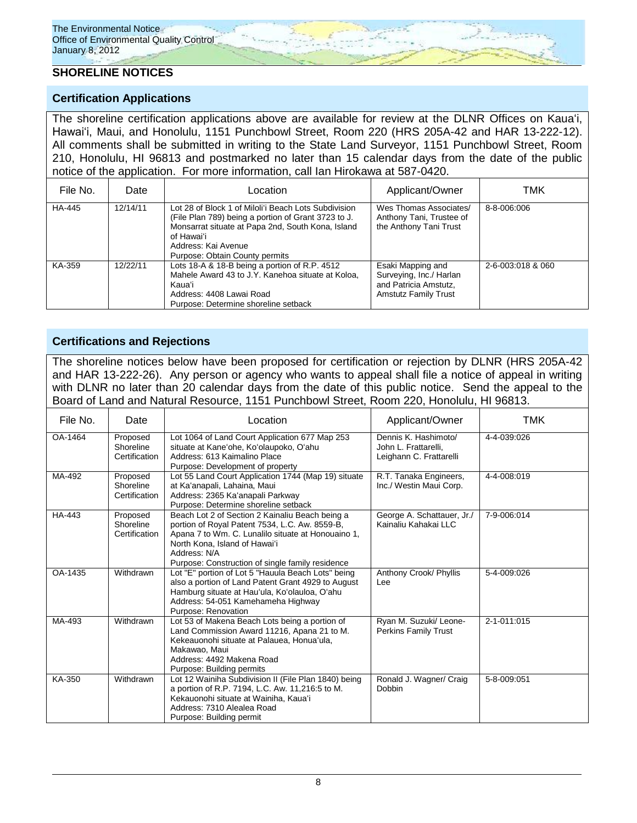### **SHORELINE NOTICES**

#### **Certification Applications**

The shoreline certification applications above are available for review at the DLNR Offices on Kauaʻi, Hawaiʻi, Maui, and Honolulu, 1151 Punchbowl Street, Room 220 (HRS 205A-42 and HAR 13-222-12). All comments shall be submitted in writing to the State Land Surveyor, 1151 Punchbowl Street, Room 210, Honolulu, HI 96813 and postmarked no later than 15 calendar days from the date of the public notice of the application. For more information, call Ian Hirokawa at 587-0420.

| File No. | Date     | Location                                                                                                                                                                                                                                | Applicant/Owner                                                                                      | TMK               |
|----------|----------|-----------------------------------------------------------------------------------------------------------------------------------------------------------------------------------------------------------------------------------------|------------------------------------------------------------------------------------------------------|-------------------|
| HA-445   | 12/14/11 | Lot 28 of Block 1 of Miloli'i Beach Lots Subdivision<br>(File Plan 789) being a portion of Grant 3723 to J.<br>Monsarrat situate at Papa 2nd, South Kona, Island<br>of Hawaiʻi<br>Address: Kai Avenue<br>Purpose: Obtain County permits | Wes Thomas Associates/<br>Anthony Tani, Trustee of<br>the Anthony Tani Trust                         | 8-8-006:006       |
| KA-359   | 12/22/11 | Lots 18-A & 18-B being a portion of R.P. 4512<br>Mahele Award 43 to J.Y. Kanehoa situate at Koloa.<br>Kaua'i<br>Address: 4408 Lawai Road<br>Purpose: Determine shoreline setback                                                        | Esaki Mapping and<br>Surveying, Inc./ Harlan<br>and Patricia Amstutz,<br><b>Amstutz Family Trust</b> | 2-6-003:018 & 060 |

#### **Certifications and Rejections**

The shoreline notices below have been proposed for certification or rejection by DLNR (HRS 205A-42 and HAR 13-222-26). Any person or agency who wants to appeal shall file a notice of appeal in writing with DLNR no later than 20 calendar days from the date of this public notice. Send the appeal to the Board of Land and Natural Resource, 1151 Punchbowl Street, Room 220, Honolulu, HI 96813.

| File No. | Date                                   | Location                                                                                                                                                                                                                                                     | Applicant/Owner                                                         | TMK         |
|----------|----------------------------------------|--------------------------------------------------------------------------------------------------------------------------------------------------------------------------------------------------------------------------------------------------------------|-------------------------------------------------------------------------|-------------|
| OA-1464  | Proposed<br>Shoreline<br>Certification | Lot 1064 of Land Court Application 677 Map 253<br>situate at Kane'ohe, Ko'olaupoko, O'ahu<br>Address: 613 Kaimalino Place<br>Purpose: Development of property                                                                                                | Dennis K. Hashimoto/<br>John L. Frattarelli.<br>Leighann C. Frattarelli | 4-4-039:026 |
| MA-492   | Proposed<br>Shoreline<br>Certification | Lot 55 Land Court Application 1744 (Map 19) situate<br>at Ka'anapali, Lahaina, Maui<br>Address: 2365 Ka'anapali Parkway<br>Purpose: Determine shoreline setback                                                                                              | R.T. Tanaka Engineers,<br>Inc./ Westin Maui Corp.                       | 4-4-008:019 |
| HA-443   | Proposed<br>Shoreline<br>Certification | Beach Lot 2 of Section 2 Kainaliu Beach being a<br>portion of Royal Patent 7534, L.C. Aw. 8559-B.<br>Apana 7 to Wm. C. Lunalilo situate at Honouaino 1,<br>North Kona, Island of Hawai'i<br>Address: N/A<br>Purpose: Construction of single family residence | George A. Schattauer, Jr./<br>Kainaliu Kahakai LLC                      | 7-9-006:014 |
| OA-1435  | Withdrawn                              | Lot "E" portion of Lot 5 "Hauula Beach Lots" being<br>also a portion of Land Patent Grant 4929 to August<br>Hamburg situate at Hau'ula, Ko'olauloa, O'ahu<br>Address: 54-051 Kamehameha Highway<br>Purpose: Renovation                                       | Anthony Crook/ Phyllis<br>Lee                                           | 5-4-009:026 |
| MA-493   | Withdrawn                              | Lot 53 of Makena Beach Lots being a portion of<br>Land Commission Award 11216, Apana 21 to M.<br>Kekeauonohi situate at Palauea, Honua'ula,<br>Makawao, Maui<br>Address: 4492 Makena Road<br>Purpose: Building permits                                       | Ryan M. Suzuki/ Leone-<br><b>Perkins Family Trust</b>                   | 2-1-011:015 |
| KA-350   | Withdrawn                              | Lot 12 Wainiha Subdivision II (File Plan 1840) being<br>a portion of R.P. 7194, L.C. Aw. 11,216:5 to M.<br>Kekauonohi situate at Wainiha. Kaua'i<br>Address: 7310 Alealea Road<br>Purpose: Building permit                                                   | Ronald J. Wagner/ Craig<br>Dobbin                                       | 5-8-009:051 |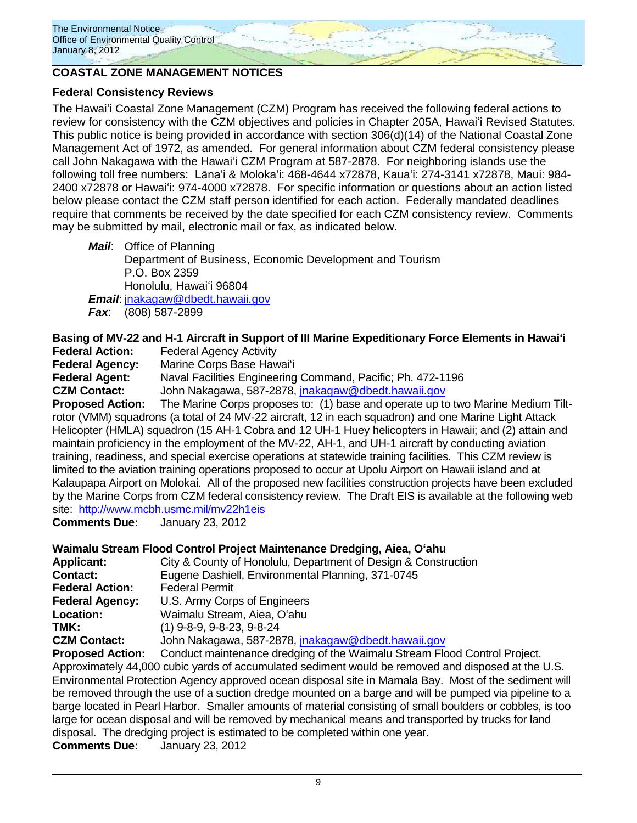

### **COASTAL ZONE MANAGEMENT NOTICES**

### **Federal Consistency Reviews**

The Hawaiʻi Coastal Zone Management (CZM) Program has received the following federal actions to review for consistency with the CZM objectives and policies in Chapter 205A, Hawaiʻi Revised Statutes. This public notice is being provided in accordance with section 306(d)(14) of the National Coastal Zone Management Act of 1972, as amended. For general information about CZM federal consistency please call John Nakagawa with the Hawaiʻi CZM Program at 587-2878. For neighboring islands use the following toll free numbers: Lānaʻi & Molokaʻi: 468-4644 x72878, Kauaʻi: 274-3141 x72878, Maui: 984- 2400 x72878 or Hawaiʻi: 974-4000 x72878. For specific information or questions about an action listed below please contact the CZM staff person identified for each action. Federally mandated deadlines require that comments be received by the date specified for each CZM consistency review. Comments may be submitted by mail, electronic mail or fax, as indicated below.

*Mail*: Office of Planning Department of Business, Economic Development and Tourism P.O. Box 2359 Honolulu, Hawaiʻi 96804 *Email*: [jnakagaw@dbedt.hawaii.gov](mailto:jnakagaw@dbedt.hawaii.gov) *Fax*: (808) 587-2899

# **Basing of MV-22 and H-1 Aircraft in Support of III Marine Expeditionary Force Elements in Hawaiʻi**

**Federal Action:** Federal Agency Activity

**Federal Agency:** Marine Corps Base Hawaiʻi

**Federal Agent:** Naval Facilities Engineering Command, Pacific; Ph. 472-1196

**CZM Contact:** John Nakagawa, 587-2878, [jnakagaw@dbedt.hawaii.gov](mailto:jnakagaw@dbedt.hawaii.gov)

**Proposed Action:** The Marine Corps proposes to: (1) base and operate up to two Marine Medium Tiltrotor (VMM) squadrons (a total of 24 MV-22 aircraft, 12 in each squadron) and one Marine Light Attack Helicopter (HMLA) squadron (15 AH-1 Cobra and 12 UH-1 Huey helicopters in Hawaii; and (2) attain and maintain proficiency in the employment of the MV-22, AH-1, and UH-1 aircraft by conducting aviation training, readiness, and special exercise operations at statewide training facilities. This CZM review is limited to the aviation training operations proposed to occur at Upolu Airport on Hawaii island and at Kalaupapa Airport on Molokai. All of the proposed new facilities construction projects have been excluded by the Marine Corps from CZM federal consistency review. The Draft EIS is available at the following web site: <http://www.mcbh.usmc.mil/mv22h1eis>

**Comments Due:** January 23, 2012

# **Waimalu Stream Flood Control Project Maintenance Dredging, Aiea, Oʻahu**

| <b>Applicant:</b>      | City & County of Honolulu, Department of Design & Construction |
|------------------------|----------------------------------------------------------------|
| <b>Contact:</b>        | Eugene Dashiell, Environmental Planning, 371-0745              |
| <b>Federal Action:</b> | <b>Federal Permit</b>                                          |
| <b>Federal Agency:</b> | U.S. Army Corps of Engineers                                   |
| Location:              | Waimalu Stream, Aiea, O'ahu                                    |
| TMK:                   | $(1)$ 9-8-9, 9-8-23, 9-8-24                                    |
| <b>CZM Contact:</b>    | John Nakagawa, 587-2878, jnakagaw@dbedt.hawaii.gov             |

**Proposed Action:** Conduct maintenance dredging of the Waimalu Stream Flood Control Project. Approximately 44,000 cubic yards of accumulated sediment would be removed and disposed at the U.S. Environmental Protection Agency approved ocean disposal site in Mamala Bay. Most of the sediment will be removed through the use of a suction dredge mounted on a barge and will be pumped via pipeline to a barge located in Pearl Harbor. Smaller amounts of material consisting of small boulders or cobbles, is too large for ocean disposal and will be removed by mechanical means and transported by trucks for land disposal. The dredging project is estimated to be completed within one year. **Comments Due:** January 23, 2012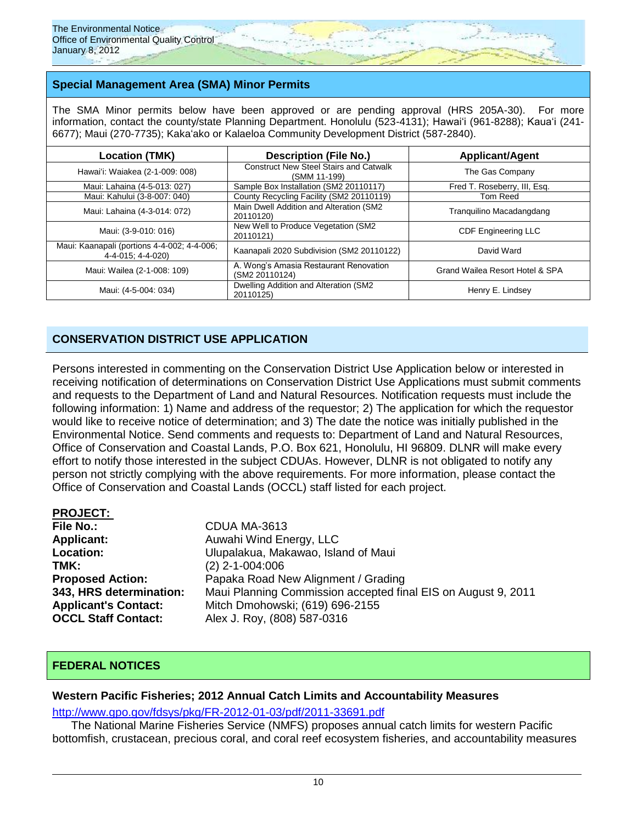### **Special Management Area (SMA) Minor Permits**

The SMA Minor permits below have been approved or are pending approval (HRS 205A-30). For more information, contact the county/state Planning Department. Honolulu (523-4131); Hawaiʻi (961-8288); Kauaʻi (241-6677); Maui (270-7735); Kakaʻako or Kalaeloa Community Development District (587-2840).

| <b>Location (TMK)</b>                                            | <b>Description (File No.)</b>                                 | <b>Applicant/Agent</b>          |  |
|------------------------------------------------------------------|---------------------------------------------------------------|---------------------------------|--|
| Hawai'i: Waiakea (2-1-009: 008)                                  | <b>Construct New Steel Stairs and Catwalk</b><br>(SMM 11-199) | The Gas Company                 |  |
| Maui: Lahaina (4-5-013: 027)                                     | Sample Box Installation (SM2 20110117)                        | Fred T. Roseberry, III, Esq.    |  |
| Maui: Kahului (3-8-007: 040)                                     | County Recycling Facility (SM2 20110119)                      | Tom Reed                        |  |
| Maui: Lahaina (4-3-014: 072)                                     | Main Dwell Addition and Alteration (SM2<br>20110120)          | Tranquilino Macadangdang        |  |
| Maui: (3-9-010: 016)                                             | New Well to Produce Vegetation (SM2<br>20110121)              | <b>CDF Engineering LLC</b>      |  |
| Maui: Kaanapali (portions 4-4-002; 4-4-006;<br>4-4-015: 4-4-020) | Kaanapali 2020 Subdivision (SM2 20110122)                     | David Ward                      |  |
| Maui: Wailea (2-1-008: 109)                                      | A. Wong's Amasia Restaurant Renovation<br>(SM2 20110124)      | Grand Wailea Resort Hotel & SPA |  |
| Maui: (4-5-004: 034)                                             | Dwelling Addition and Alteration (SM2<br>20110125)            | Henry E. Lindsey                |  |

### **CONSERVATION DISTRICT USE APPLICATION**

Persons interested in commenting on the Conservation District Use Application below or interested in receiving notification of determinations on Conservation District Use Applications must submit comments and requests to the Department of Land and Natural Resources. Notification requests must include the following information: 1) Name and address of the requestor; 2) The application for which the requestor would like to receive notice of determination; and 3) The date the notice was initially published in the Environmental Notice. Send comments and requests to: Department of Land and Natural Resources, Office of Conservation and Coastal Lands, P.O. Box 621, Honolulu, HI 96809. DLNR will make every effort to notify those interested in the subject CDUAs. However, DLNR is not obligated to notify any person not strictly complying with the above requirements. For more information, please contact the Office of Conservation and Coastal Lands (OCCL) staff listed for each project.

| <b>PROJECT:</b>             |                                                               |
|-----------------------------|---------------------------------------------------------------|
| <b>File No.:</b>            | CDUA MA-3613                                                  |
| <b>Applicant:</b>           | Auwahi Wind Energy, LLC                                       |
| Location:                   | Ulupalakua, Makawao, Island of Maui                           |
| TMK:                        | $(2)$ 2-1-004:006                                             |
| <b>Proposed Action:</b>     | Papaka Road New Alignment / Grading                           |
| 343, HRS determination:     | Maui Planning Commission accepted final EIS on August 9, 2011 |
| <b>Applicant's Contact:</b> | Mitch Dmohowski; (619) 696-2155                               |
| <b>OCCL Staff Contact:</b>  | Alex J. Roy, (808) 587-0316                                   |

### **FEDERAL NOTICES**

#### **Western Pacific Fisheries; 2012 Annual Catch Limits and Accountability Measures**

<http://www.gpo.gov/fdsys/pkg/FR-2012-01-03/pdf/2011-33691.pdf>

The National Marine Fisheries Service (NMFS) proposes annual catch limits for western Pacific bottomfish, crustacean, precious coral, and coral reef ecosystem fisheries, and accountability measures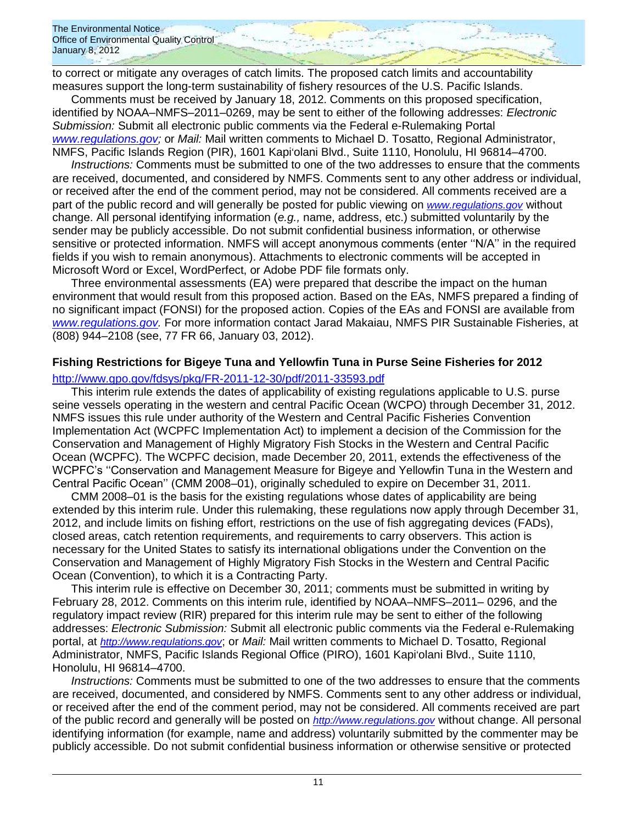to correct or mitigate any overages of catch limits. The proposed catch limits and accountability measures support the long-term sustainability of fishery resources of the U.S. Pacific Islands.

Comments must be received by January 18, 2012. Comments on this proposed specification, identified by NOAA–NMFS–2011–0269, may be sent to either of the following addresses: *Electronic Submission:* Submit all electronic public comments via the Federal e-Rulemaking Portal *[www.regulations.gov;](http://www.regulations.gov/)* or *Mail:* Mail written comments to Michael D. Tosatto, Regional Administrator, NMFS, Pacific Islands Region (PIR), 1601 Kapiʻolani Blvd., Suite 1110, Honolulu, HI 96814–4700.

*Instructions:* Comments must be submitted to one of the two addresses to ensure that the comments are received, documented, and considered by NMFS. Comments sent to any other address or individual, or received after the end of the comment period, may not be considered. All comments received are a part of the public record and will generally be posted for public viewing on *[www.regulations.gov](http://www.regulations.gov/)* without change. All personal identifying information (*e.g.,* name, address, etc.) submitted voluntarily by the sender may be publicly accessible. Do not submit confidential business information, or otherwise sensitive or protected information. NMFS will accept anonymous comments (enter ''N/A'' in the required fields if you wish to remain anonymous). Attachments to electronic comments will be accepted in Microsoft Word or Excel, WordPerfect, or Adobe PDF file formats only.

Three environmental assessments (EA) were prepared that describe the impact on the human environment that would result from this proposed action. Based on the EAs, NMFS prepared a finding of no significant impact (FONSI) for the proposed action. Copies of the EAs and FONSI are available from *[www.regulations.gov.](http://www.regulations.gov/)* For more information contact Jarad Makaiau, NMFS PIR Sustainable Fisheries, at (808) 944–2108 (see, 77 FR 66, January 03, 2012).

### **Fishing Restrictions for Bigeye Tuna and Yellowfin Tuna in Purse Seine Fisheries for 2012**

<http://www.gpo.gov/fdsys/pkg/FR-2011-12-30/pdf/2011-33593.pdf>

This interim rule extends the dates of applicability of existing regulations applicable to U.S. purse seine vessels operating in the western and central Pacific Ocean (WCPO) through December 31, 2012. NMFS issues this rule under authority of the Western and Central Pacific Fisheries Convention Implementation Act (WCPFC Implementation Act) to implement a decision of the Commission for the Conservation and Management of Highly Migratory Fish Stocks in the Western and Central Pacific Ocean (WCPFC). The WCPFC decision, made December 20, 2011, extends the effectiveness of the WCPFC's ''Conservation and Management Measure for Bigeye and Yellowfin Tuna in the Western and Central Pacific Ocean'' (CMM 2008–01), originally scheduled to expire on December 31, 2011.

CMM 2008–01 is the basis for the existing regulations whose dates of applicability are being extended by this interim rule. Under this rulemaking, these regulations now apply through December 31, 2012, and include limits on fishing effort, restrictions on the use of fish aggregating devices (FADs), closed areas, catch retention requirements, and requirements to carry observers. This action is necessary for the United States to satisfy its international obligations under the Convention on the Conservation and Management of Highly Migratory Fish Stocks in the Western and Central Pacific Ocean (Convention), to which it is a Contracting Party.

This interim rule is effective on December 30, 2011; comments must be submitted in writing by February 28, 2012. Comments on this interim rule, identified by NOAA–NMFS–2011– 0296, and the regulatory impact review (RIR) prepared for this interim rule may be sent to either of the following addresses: *Electronic Submission:* Submit all electronic public comments via the Federal e-Rulemaking portal, at *[http://www.regulations.gov](http://www.regulations.gov/)*; or *Mail:* Mail written comments to Michael D. Tosatto, Regional Administrator, NMFS, Pacific Islands Regional Office (PIRO), 1601 Kapiʻolani Blvd., Suite 1110, Honolulu, HI 96814–4700.

*Instructions:* Comments must be submitted to one of the two addresses to ensure that the comments are received, documented, and considered by NMFS. Comments sent to any other address or individual, or received after the end of the comment period, may not be considered. All comments received are part of the public record and generally will be posted on *[http://www.regulations.gov](http://www.regulations.gov/)* without change. All personal identifying information (for example, name and address) voluntarily submitted by the commenter may be publicly accessible. Do not submit confidential business information or otherwise sensitive or protected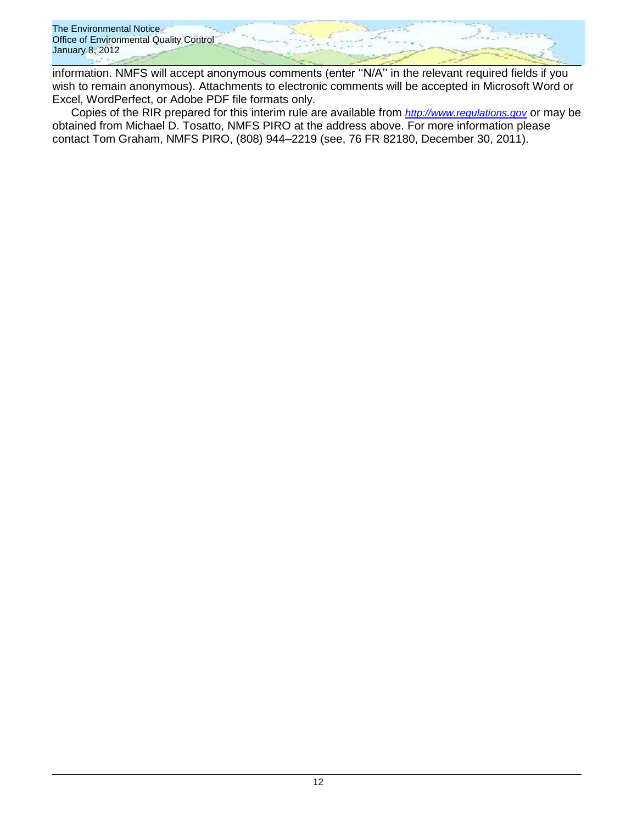

information. NMFS will accept anonymous comments (enter ''N/A'' in the relevant required fields if you wish to remain anonymous). Attachments to electronic comments will be accepted in Microsoft Word or Excel, WordPerfect, or Adobe PDF file formats only.

Copies of the RIR prepared for this interim rule are available from *[http://www.regulations.gov](http://www.regulations.gov/)* or may be obtained from Michael D. Tosatto, NMFS PIRO at the address above. For more information please contact Tom Graham, NMFS PIRO, (808) 944–2219 (see, 76 FR 82180, December 30, 2011).